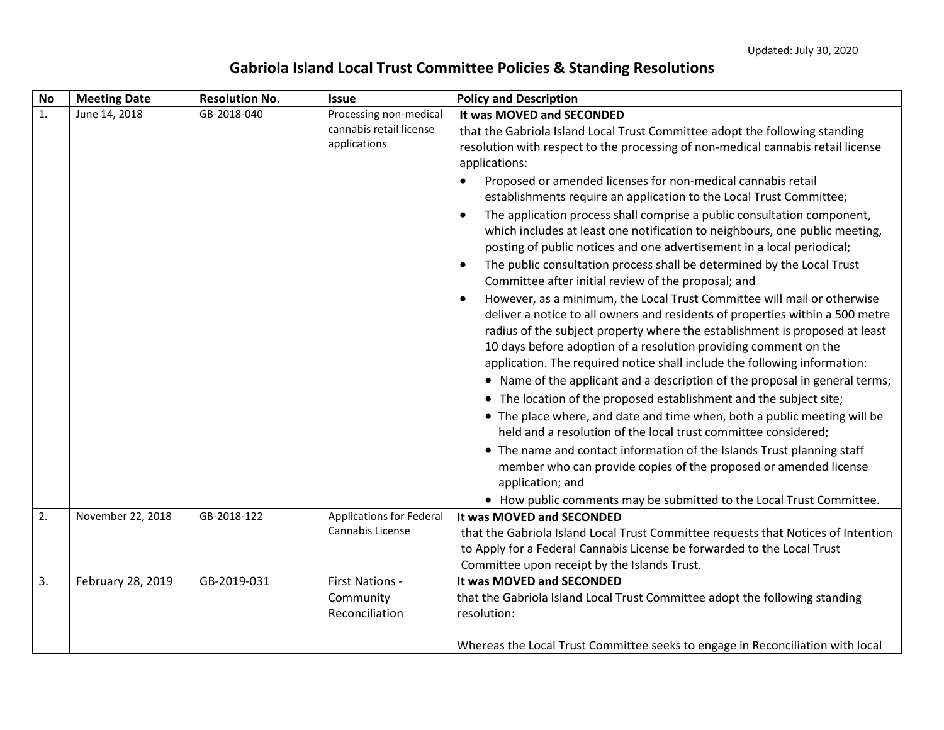## **Gabriola Island Local Trust Committee Policies & Standing Resolutions**

| <b>No</b> | <b>Meeting Date</b> | <b>Resolution No.</b> | <b>Issue</b>                                                      | <b>Policy and Description</b>                                                                                                                                                                                                                                                                                                                                                                                                                                                                                                                                                                                                                                                                                                                                                                                                                                                                                                                                                                                                                                                                                                                                                                                                                                                                                                                                                                                                                                                                                                                                                                                                                                                                                          |
|-----------|---------------------|-----------------------|-------------------------------------------------------------------|------------------------------------------------------------------------------------------------------------------------------------------------------------------------------------------------------------------------------------------------------------------------------------------------------------------------------------------------------------------------------------------------------------------------------------------------------------------------------------------------------------------------------------------------------------------------------------------------------------------------------------------------------------------------------------------------------------------------------------------------------------------------------------------------------------------------------------------------------------------------------------------------------------------------------------------------------------------------------------------------------------------------------------------------------------------------------------------------------------------------------------------------------------------------------------------------------------------------------------------------------------------------------------------------------------------------------------------------------------------------------------------------------------------------------------------------------------------------------------------------------------------------------------------------------------------------------------------------------------------------------------------------------------------------------------------------------------------------|
| 1.        | June 14, 2018       | GB-2018-040           | Processing non-medical<br>cannabis retail license<br>applications | It was MOVED and SECONDED<br>that the Gabriola Island Local Trust Committee adopt the following standing<br>resolution with respect to the processing of non-medical cannabis retail license<br>applications:<br>Proposed or amended licenses for non-medical cannabis retail<br>$\bullet$<br>establishments require an application to the Local Trust Committee;<br>The application process shall comprise a public consultation component,<br>$\bullet$<br>which includes at least one notification to neighbours, one public meeting,<br>posting of public notices and one advertisement in a local periodical;<br>The public consultation process shall be determined by the Local Trust<br>$\bullet$<br>Committee after initial review of the proposal; and<br>However, as a minimum, the Local Trust Committee will mail or otherwise<br>$\bullet$<br>deliver a notice to all owners and residents of properties within a 500 metre<br>radius of the subject property where the establishment is proposed at least<br>10 days before adoption of a resolution providing comment on the<br>application. The required notice shall include the following information:<br>• Name of the applicant and a description of the proposal in general terms;<br>• The location of the proposed establishment and the subject site;<br>• The place where, and date and time when, both a public meeting will be<br>held and a resolution of the local trust committee considered;<br>• The name and contact information of the Islands Trust planning staff<br>member who can provide copies of the proposed or amended license<br>application; and<br>• How public comments may be submitted to the Local Trust Committee. |
| 2.        | November 22, 2018   | GB-2018-122           | <b>Applications for Federal</b><br>Cannabis License               | It was MOVED and SECONDED<br>that the Gabriola Island Local Trust Committee requests that Notices of Intention<br>to Apply for a Federal Cannabis License be forwarded to the Local Trust<br>Committee upon receipt by the Islands Trust.                                                                                                                                                                                                                                                                                                                                                                                                                                                                                                                                                                                                                                                                                                                                                                                                                                                                                                                                                                                                                                                                                                                                                                                                                                                                                                                                                                                                                                                                              |
| 3.        | February 28, 2019   | GB-2019-031           | First Nations -<br>Community<br>Reconciliation                    | It was MOVED and SECONDED<br>that the Gabriola Island Local Trust Committee adopt the following standing<br>resolution:<br>Whereas the Local Trust Committee seeks to engage in Reconciliation with local                                                                                                                                                                                                                                                                                                                                                                                                                                                                                                                                                                                                                                                                                                                                                                                                                                                                                                                                                                                                                                                                                                                                                                                                                                                                                                                                                                                                                                                                                                              |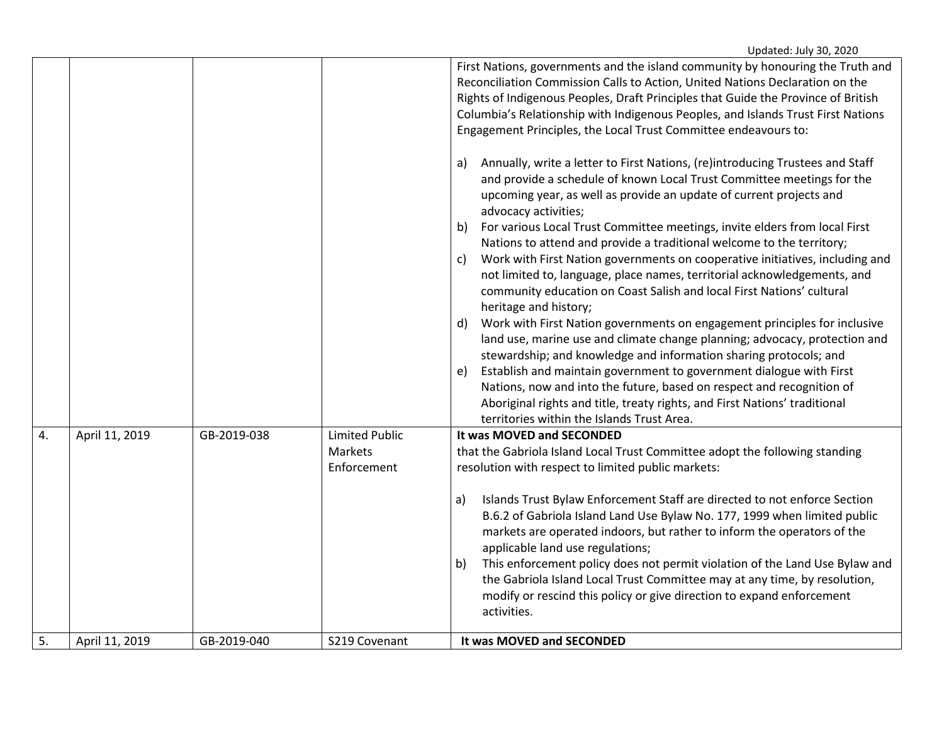|    |                |             |                                                 | Reconciliation Commission Calls to Action, United Nations Declaration on the<br>Rights of Indigenous Peoples, Draft Principles that Guide the Province of British<br>Columbia's Relationship with Indigenous Peoples, and Islands Trust First Nations<br>Engagement Principles, the Local Trust Committee endeavours to:<br>Annually, write a letter to First Nations, (re)introducing Trustees and Staff<br>a)<br>and provide a schedule of known Local Trust Committee meetings for the<br>upcoming year, as well as provide an update of current projects and<br>advocacy activities;<br>For various Local Trust Committee meetings, invite elders from local First<br>b)<br>Nations to attend and provide a traditional welcome to the territory;<br>Work with First Nation governments on cooperative initiatives, including and<br>c)<br>not limited to, language, place names, territorial acknowledgements, and<br>community education on Coast Salish and local First Nations' cultural<br>heritage and history;<br>Work with First Nation governments on engagement principles for inclusive<br>d)<br>land use, marine use and climate change planning; advocacy, protection and<br>stewardship; and knowledge and information sharing protocols; and<br>Establish and maintain government to government dialogue with First<br>e)<br>Nations, now and into the future, based on respect and recognition of<br>Aboriginal rights and title, treaty rights, and First Nations' traditional<br>territories within the Islands Trust Area. |
|----|----------------|-------------|-------------------------------------------------|---------------------------------------------------------------------------------------------------------------------------------------------------------------------------------------------------------------------------------------------------------------------------------------------------------------------------------------------------------------------------------------------------------------------------------------------------------------------------------------------------------------------------------------------------------------------------------------------------------------------------------------------------------------------------------------------------------------------------------------------------------------------------------------------------------------------------------------------------------------------------------------------------------------------------------------------------------------------------------------------------------------------------------------------------------------------------------------------------------------------------------------------------------------------------------------------------------------------------------------------------------------------------------------------------------------------------------------------------------------------------------------------------------------------------------------------------------------------------------------------------------------------------------------------------|
| 4. | April 11, 2019 | GB-2019-038 | <b>Limited Public</b><br>Markets<br>Enforcement | It was MOVED and SECONDED<br>that the Gabriola Island Local Trust Committee adopt the following standing<br>resolution with respect to limited public markets:                                                                                                                                                                                                                                                                                                                                                                                                                                                                                                                                                                                                                                                                                                                                                                                                                                                                                                                                                                                                                                                                                                                                                                                                                                                                                                                                                                                    |
|    |                |             |                                                 | Islands Trust Bylaw Enforcement Staff are directed to not enforce Section<br>a)<br>B.6.2 of Gabriola Island Land Use Bylaw No. 177, 1999 when limited public<br>markets are operated indoors, but rather to inform the operators of the<br>applicable land use regulations;<br>This enforcement policy does not permit violation of the Land Use Bylaw and<br>b)<br>the Gabriola Island Local Trust Committee may at any time, by resolution,<br>modify or rescind this policy or give direction to expand enforcement<br>activities.                                                                                                                                                                                                                                                                                                                                                                                                                                                                                                                                                                                                                                                                                                                                                                                                                                                                                                                                                                                                             |
| 5. | April 11, 2019 | GB-2019-040 | S219 Covenant                                   | It was MOVED and SECONDED                                                                                                                                                                                                                                                                                                                                                                                                                                                                                                                                                                                                                                                                                                                                                                                                                                                                                                                                                                                                                                                                                                                                                                                                                                                                                                                                                                                                                                                                                                                         |